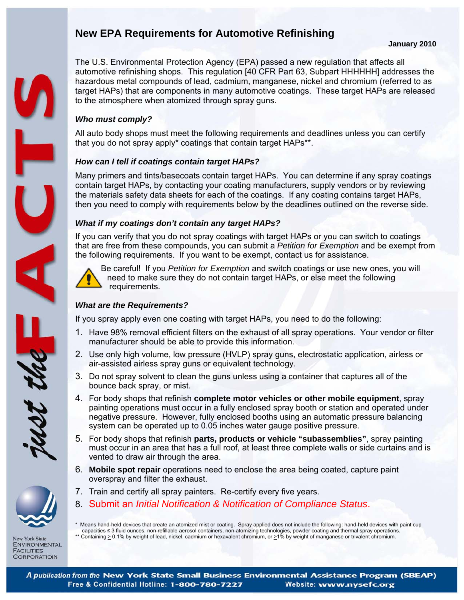# **New EPA Requirements for Automotive Refinishing**

#### **January 2010**

The U.S. Environmental Protection Agency (EPA) passed a new regulation that affects all automotive refinishing shops. This regulation [40 CFR Part 63, Subpart HHHHHH] addresses the hazardous metal compounds of lead, cadmium, manganese, nickel and chromium (referred to as target HAPs) that are components in many automotive coatings. These target HAPs are released to the atmosphere when atomized through spray guns.

#### *Who must comply?*

All auto body shops must meet the following requirements and deadlines unless you can certify that you do not spray apply\* coatings that contain target HAPs\*\*.

#### *How can I tell if coatings contain target HAPs?*

Many primers and tints/basecoats contain target HAPs. You can determine if any spray coatings contain target HAPs, by contacting your coating manufacturers, supply vendors or by reviewing the materials safety data sheets for each of the coatings. If any coating contains target HAPs, then you need to comply with requirements below by the deadlines outlined on the reverse side.

#### *What if my coatings don't contain any target HAPs?*

If you can verify that you do not spray coatings with target HAPs or you can switch to coatings that are free from these compounds, you can submit a *Petition for Exemption* and be exempt from the following requirements. If you want to be exempt, contact us for assistance.



Ξ

Be careful! If you *Petition for Exemption* and switch coatings or use new ones, you will need to make sure they do not contain target HAPs, or else meet the following requirements.

### *What are the Requirements?*

If you spray apply even one coating with target HAPs, you need to do the following:

- 1. Have 98% removal efficient filters on the exhaust of all spray operations. Your vendor or filter manufacturer should be able to provide this information.
- 2. Use only high volume, low pressure (HVLP) spray guns, electrostatic application, airless or air-assisted airless spray guns or equivalent technology.
- 3. Do not spray solvent to clean the guns unless using a container that captures all of the bounce back spray, or mist.
- 4. For body shops that refinish **complete motor vehicles or other mobile equipment**, spray painting operations must occur in a fully enclosed spray booth or station and operated under negative pressure. However, fully enclosed booths using an automatic pressure balancing system can be operated up to 0.05 inches water gauge positive pressure.
- 5. For body shops that refinish **parts, products or vehicle "subassemblies"**, spray painting must occur in an area that has a full roof, at least three complete walls or side curtains and is vented to draw air through the area.
- 6. **Mobile spot repair** operations need to enclose the area being coated, capture paint overspray and filter the exhaust.
- 7. Train and certify all spray painters. Re-certify every five years.
- 8. Submit an *Initial Notification & Notification of Compliance Status*.

\* Means hand-held devices that create an atomized mist or coating. Spray applied does not include the following: hand-held devices with paint cup capacities ≤ 3 fluid ounces, non-refillable aerosol containers, non-atomizing technologies, powder coating and thermal spray operations. \*\* Containing  $\geq$  0.1% by weight of lead, nickel, cadmium or hexavalent chromium, or  $\geq$ 1% by weight of manganese or trivalent chromium.

**New York State** 

**ENVIRONMENTAL FACILITIES CORPORATIOIN**